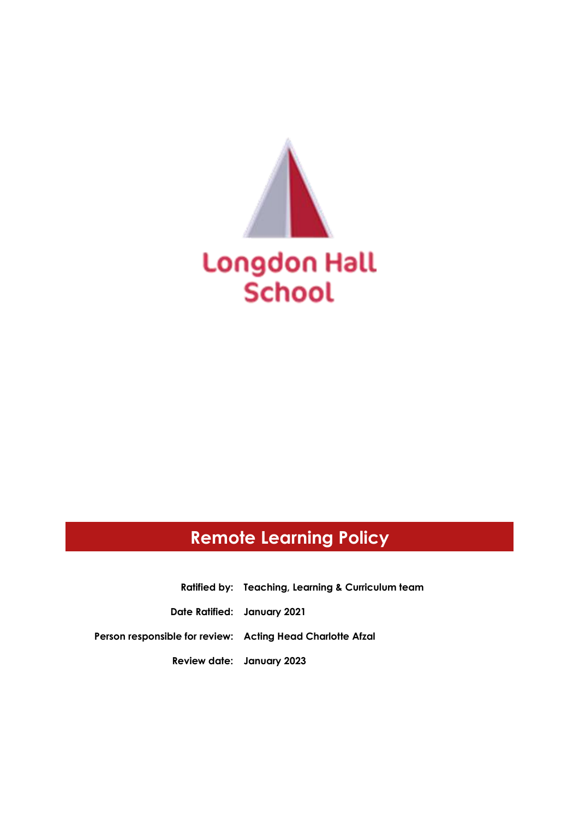

# **Remote Learning Policy**

**Ratified by: Teaching, Learning & Curriculum team Date Ratified: January 2021 Person responsible for review: Acting Head Charlotte Afzal Review date: January 2023**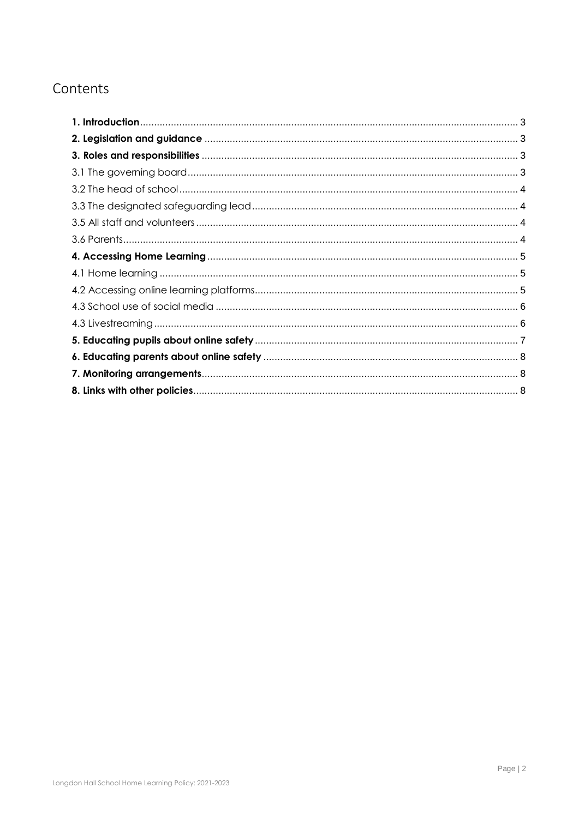# Contents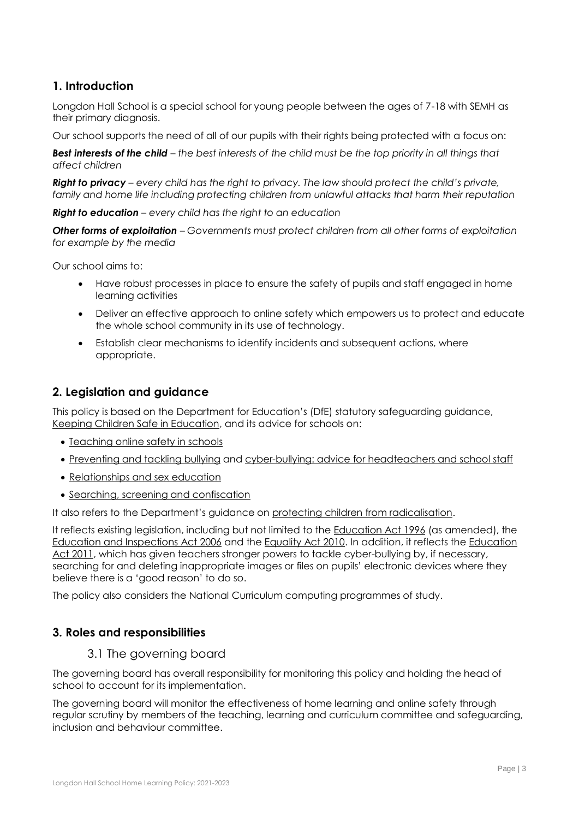# <span id="page-2-0"></span>**1. Introduction**

Longdon Hall School is a special school for young people between the ages of 7-18 with SEMH as their primary diagnosis.

Our school supports the need of all of our pupils with their rights being protected with a focus on:

*Best interests of the child – the best interests of the child must be the top priority in all things that affect children*

*Right to privacy – every child has the right to privacy. The law should protect the child's private,*  family and home life including protecting children from unlawful attacks that harm their reputation

*Right to education – every child has the right to an education*

*Other forms of exploitation – Governments must protect children from all other forms of exploitation for example by the media*

Our school aims to:

- Have robust processes in place to ensure the safety of pupils and staff engaged in home learning activities
- Deliver an effective approach to online safety which empowers us to protect and educate the whole school community in its use of technology.
- Establish clear mechanisms to identify incidents and subsequent actions, where appropriate.

# <span id="page-2-1"></span>**2. Legislation and guidance**

This policy is based on the Department for Education's (DfE) statutory safeguarding guidance, [Keeping Children Safe in Education,](https://www.gov.uk/government/publications/keeping-children-safe-in-education--2) and its advice for schools on:

- [Teaching online safety in schools](https://www.gov.uk/government/publications/teaching-online-safety-in-schools)
- [Preventing and tackling bullying](https://www.gov.uk/government/publications/preventing-and-tackling-bullying) and [cyber-bullying: advice for headteachers and school staff](https://www.gov.uk/government/publications/preventing-and-tackling-bullying)
- [Relationships and sex education](https://www.gov.uk/government/publications/relationships-education-relationships-and-sex-education-rse-and-health-education)
- [Searching, screening and confiscation](https://www.gov.uk/government/publications/searching-screening-and-confiscation)

It also refers to the Department's guidance on [protecting children from radicalisation.](https://www.gov.uk/government/publications/protecting-children-from-radicalisation-the-prevent-duty)

It reflects existing legislation, including but not limited to the [Education Act 1996](https://www.legislation.gov.uk/ukpga/1996/56/contents) (as amended), the [Education and Inspections Act 2006](https://www.legislation.gov.uk/ukpga/2006/40/contents) and the [Equality Act 2010.](https://www.legislation.gov.uk/ukpga/2010/15/contents) In addition, it reflects the [Education](http://www.legislation.gov.uk/ukpga/2011/21/contents/enacted)  [Act 2011,](http://www.legislation.gov.uk/ukpga/2011/21/contents/enacted) which has given teachers stronger powers to tackle cyber-bullying by, if necessary, searching for and deleting inappropriate images or files on pupils' electronic devices where they believe there is a 'good reason' to do so.

The policy also considers the National Curriculum computing programmes of study.

# <span id="page-2-3"></span><span id="page-2-2"></span>**3. Roles and responsibilities**

3.1 The governing board

The governing board has overall responsibility for monitoring this policy and holding the head of school to account for its implementation.

The governing board will monitor the effectiveness of home learning and online safety through regular scrutiny by members of the teaching, learning and curriculum committee and safeguarding, inclusion and behaviour committee.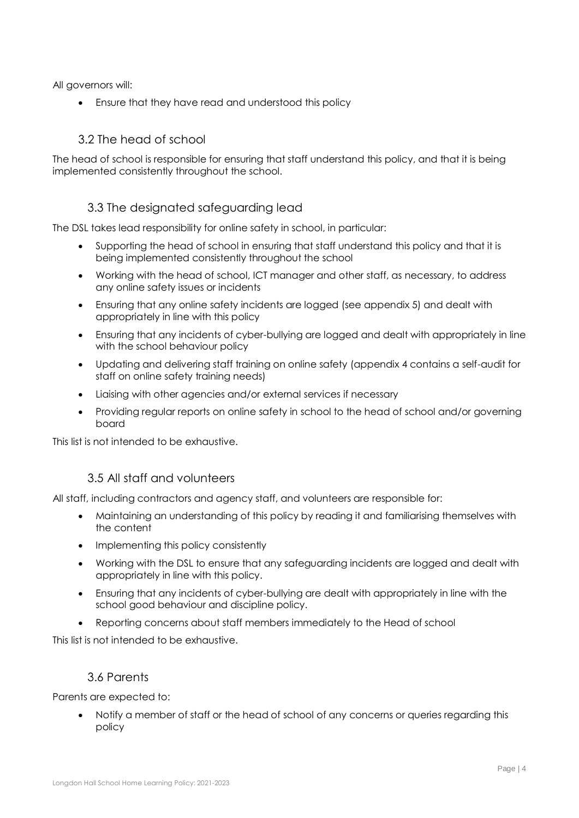All governors will:

Ensure that they have read and understood this policy

# 3.2 The head of school

<span id="page-3-0"></span>The head of school is responsible for ensuring that staff understand this policy, and that it is being implemented consistently throughout the school.

# 3.3 The designated safeguarding lead

<span id="page-3-1"></span>The DSL takes lead responsibility for online safety in school, in particular:

- Supporting the head of school in ensuring that staff understand this policy and that it is being implemented consistently throughout the school
- Working with the head of school, ICT manager and other staff, as necessary, to address any online safety issues or incidents
- Ensuring that any online safety incidents are logged (see appendix 5) and dealt with appropriately in line with this policy
- Ensuring that any incidents of cyber-bullying are logged and dealt with appropriately in line with the school behaviour policy
- Updating and delivering staff training on online safety (appendix 4 contains a self-audit for staff on online safety training needs)
- Liaising with other agencies and/or external services if necessary
- Providing regular reports on online safety in school to the head of school and/or governing board

This list is not intended to be exhaustive.

#### 3.5 All staff and volunteers

<span id="page-3-2"></span>All staff, including contractors and agency staff, and volunteers are responsible for:

- Maintaining an understanding of this policy by reading it and familiarising themselves with the content
- Implementing this policy consistently
- Working with the DSL to ensure that any safeguarding incidents are logged and dealt with appropriately in line with this policy.
- Ensuring that any incidents of cyber-bullying are dealt with appropriately in line with the school good behaviour and discipline policy.
- Reporting concerns about staff members immediately to the Head of school

This list is not intended to be exhaustive.

#### 3.6 Parents

<span id="page-3-3"></span>Parents are expected to:

 Notify a member of staff or the head of school of any concerns or queries regarding this policy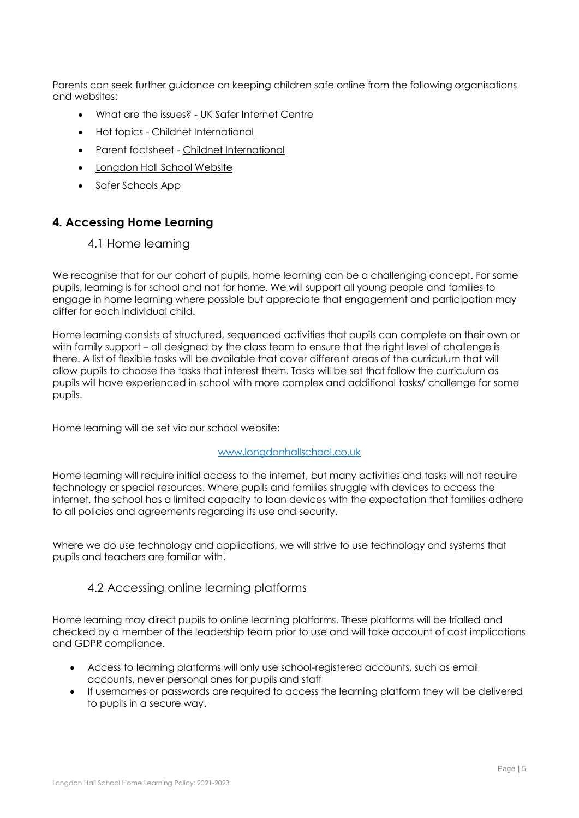Parents can seek further guidance on keeping children safe online from the following organisations and websites:

- What are the issues? [UK Safer Internet Centre](https://www.saferinternet.org.uk/advice-centre/parents-and-carers/what-are-issues)
- Hot topics [Childnet International](http://www.childnet.com/parents-and-carers/hot-topics)
- Parent factsheet [Childnet International](https://www.childnet.com/resources/parents-and-carers-resource-sheet)
- Longdon Hall School Website
- Safer Schools App

# <span id="page-4-1"></span><span id="page-4-0"></span>**4. Accessing Home Learning**

#### 4.1 Home learning

We recognise that for our cohort of pupils, home learning can be a challenging concept. For some pupils, learning is for school and not for home. We will support all young people and families to engage in home learning where possible but appreciate that engagement and participation may differ for each individual child.

Home learning consists of structured, sequenced activities that pupils can complete on their own or with family support – all designed by the class team to ensure that the right level of challenge is there. A list of flexible tasks will be available that cover different areas of the curriculum that will allow pupils to choose the tasks that interest them. Tasks will be set that follow the curriculum as pupils will have experienced in school with more complex and additional tasks/ challenge for some pupils.

Home learning will be set via our school website:

#### [www.longdonhallschool.co.uk](http://www.longdonhallschool.co.uk/)

Home learning will require initial access to the internet, but many activities and tasks will not require technology or special resources. Where pupils and families struggle with devices to access the internet, the school has a limited capacity to loan devices with the expectation that families adhere to all policies and agreements regarding its use and security.

<span id="page-4-2"></span>Where we do use technology and applications, we will strive to use technology and systems that pupils and teachers are familiar with.

#### 4.2 Accessing online learning platforms

Home learning may direct pupils to online learning platforms. These platforms will be trialled and checked by a member of the leadership team prior to use and will take account of cost implications and GDPR compliance.

- Access to learning platforms will only use school-registered accounts, such as email accounts, never personal ones for pupils and staff
- If usernames or passwords are required to access the learning platform they will be delivered to pupils in a secure way.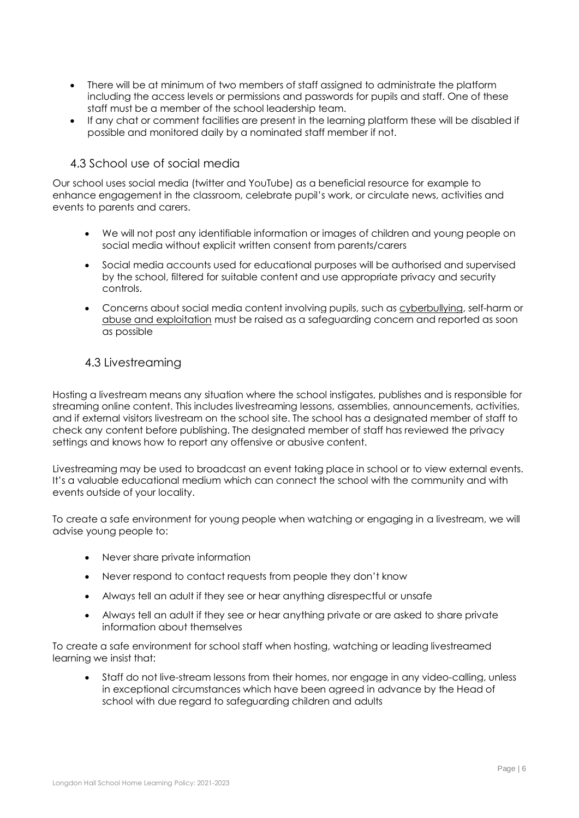- There will be at minimum of two members of staff assigned to administrate the platform including the access levels or permissions and passwords for pupils and staff. One of these staff must be a member of the school leadership team.
- If any chat or comment facilities are present in the learning platform these will be disabled if possible and monitored daily by a nominated staff member if not.

# <span id="page-5-0"></span>4.3 School use of social media

Our school uses social media (twitter and YouTube) as a beneficial resource for example to enhance engagement in the classroom, celebrate pupil's work, or circulate news, activities and events to parents and carers.

- We will not post any identifiable information or images of children and young people on social media without explicit written consent from parents/carers
- Social media accounts used for educational purposes will be authorised and supervised by the school, filtered for suitable content and use appropriate privacy and security controls.
- Concerns about social media content involving pupils, such as [cyberbullying,](https://learning.nspcc.org.uk/child-abuse-and-neglect/bullying/) self-harm or [abuse and exploitation](https://learning.nspcc.org.uk/child-abuse-and-neglect/) must be raised as a safeguarding concern and reported as soon as possible

### <span id="page-5-1"></span>4.3 Livestreaming

Hosting a livestream means any situation where the school instigates, publishes and is responsible for streaming online content. This includes livestreaming lessons, assemblies, announcements, activities, and if external visitors livestream on the school site. The school has a designated member of staff to check any content before publishing. The designated member of staff has reviewed the privacy settings and knows how to report any offensive or abusive content.

Livestreaming may be used to broadcast an event taking place in school or to view external events. It's a valuable educational medium which can connect the school with the community and with events outside of your locality.

To create a safe environment for young people when watching or engaging in a livestream, we will advise young people to:

- Never share private information
- Never respond to contact requests from people they don't know
- Always tell an adult if they see or hear anything disrespectful or unsafe
- Always tell an adult if they see or hear anything private or are asked to share private information about themselves

To create a safe environment for school staff when hosting, watching or leading livestreamed learning we insist that:

 Staff do not live-stream lessons from their homes, nor engage in any video-calling, unless in exceptional circumstances which have been agreed in advance by the Head of school with due regard to safeguarding children and adults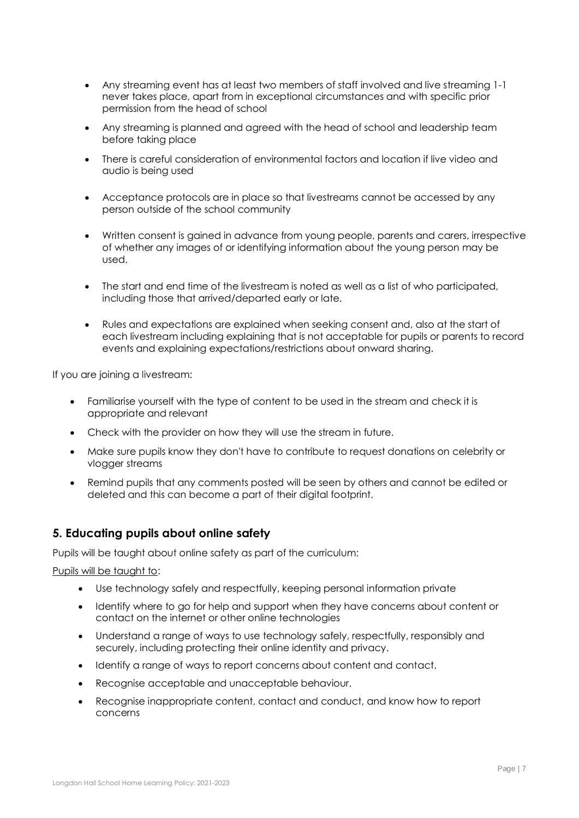- Any streaming event has at least two members of staff involved and live streaming 1-1 never takes place, apart from in exceptional circumstances and with specific prior permission from the head of school
- Any streaming is planned and agreed with the head of school and leadership team before taking place
- There is careful consideration of environmental factors and location if live video and audio is being used
- Acceptance protocols are in place so that livestreams cannot be accessed by any person outside of the school community
- Written consent is gained in advance from young people, parents and carers, irrespective of whether any images of or identifying information about the young person may be used.
- The start and end time of the livestream is noted as well as a list of who participated, including those that arrived/departed early or late.
- Rules and expectations are explained when seeking consent and, also at the start of each livestream including explaining that is not acceptable for pupils or parents to record events and explaining expectations/restrictions about onward sharing.

If you are joining a livestream:

- Familiarise yourself with the type of content to be used in the stream and check it is appropriate and relevant
- Check with the provider on how they will use the stream in future.
- Make sure pupils know they don't have to contribute to request donations on celebrity or vlogger streams
- Remind pupils that any comments posted will be seen by others and cannot be edited or deleted and this can become a part of their digital footprint.

# <span id="page-6-0"></span>**5. Educating pupils about online safety**

Pupils will be taught about online safety as part of the curriculum:

Pupils will be taught to:

- Use technology safely and respectfully, keeping personal information private
- Identify where to go for help and support when they have concerns about content or contact on the internet or other online technologies
- Understand a range of ways to use technology safely, respectfully, responsibly and securely, including protecting their online identity and privacy.
- Identify a range of ways to report concerns about content and contact.
- Recognise acceptable and unacceptable behaviour.
- Recognise inappropriate content, contact and conduct, and know how to report concerns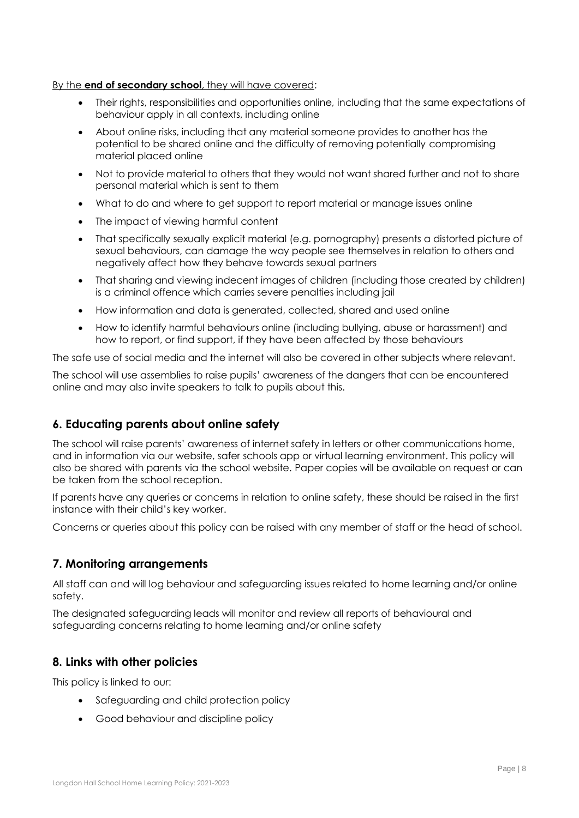#### By the **end of secondary school**, they will have covered:

- Their rights, responsibilities and opportunities online, including that the same expectations of behaviour apply in all contexts, including online
- About online risks, including that any material someone provides to another has the potential to be shared online and the difficulty of removing potentially compromising material placed online
- Not to provide material to others that they would not want shared further and not to share personal material which is sent to them
- What to do and where to get support to report material or manage issues online
- The impact of viewing harmful content
- That specifically sexually explicit material (e.g. pornography) presents a distorted picture of sexual behaviours, can damage the way people see themselves in relation to others and negatively affect how they behave towards sexual partners
- That sharing and viewing indecent images of children (including those created by children) is a criminal offence which carries severe penalties including jail
- How information and data is generated, collected, shared and used online
- How to identify harmful behaviours online (including bullying, abuse or harassment) and how to report, or find support, if they have been affected by those behaviours

The safe use of social media and the internet will also be covered in other subjects where relevant.

The school will use assemblies to raise pupils' awareness of the dangers that can be encountered online and may also invite speakers to talk to pupils about this.

# <span id="page-7-0"></span>**6. Educating parents about online safety**

The school will raise parents' awareness of internet safety in letters or other communications home, and in information via our website, safer schools app or virtual learning environment. This policy will also be shared with parents via the school website. Paper copies will be available on request or can be taken from the school reception.

If parents have any queries or concerns in relation to online safety, these should be raised in the first instance with their child's key worker.

Concerns or queries about this policy can be raised with any member of staff or the head of school.

# <span id="page-7-1"></span>**7. Monitoring arrangements**

All staff can and will log behaviour and safeguarding issues related to home learning and/or online safety.

The designated safeguarding leads will monitor and review all reports of behavioural and safeguarding concerns relating to home learning and/or online safety

# <span id="page-7-2"></span>**8. Links with other policies**

This policy is linked to our:

- Safeguarding and child protection policy
- Good behaviour and discipline policy